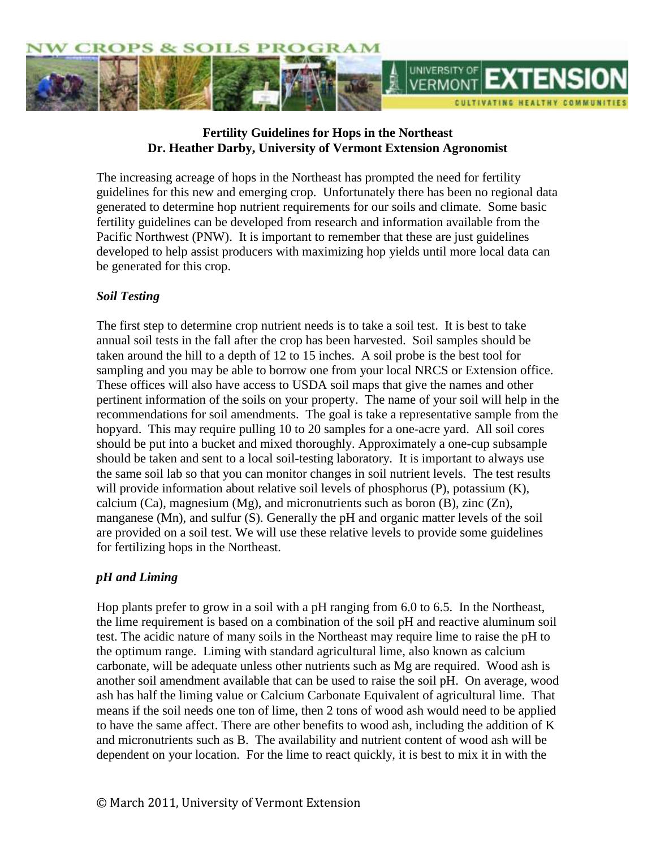

# **Fertility Guidelines for Hops in the Northeast Dr. Heather Darby, University of Vermont Extension Agronomist**

The increasing acreage of hops in the Northeast has prompted the need for fertility guidelines for this new and emerging crop. Unfortunately there has been no regional data generated to determine hop nutrient requirements for our soils and climate. Some basic fertility guidelines can be developed from research and information available from the Pacific Northwest (PNW). It is important to remember that these are just guidelines developed to help assist producers with maximizing hop yields until more local data can be generated for this crop.

# *Soil Testing*

The first step to determine crop nutrient needs is to take a soil test. It is best to take annual soil tests in the fall after the crop has been harvested. Soil samples should be taken around the hill to a depth of 12 to 15 inches. A soil probe is the best tool for sampling and you may be able to borrow one from your local NRCS or Extension office. These offices will also have access to USDA soil maps that give the names and other pertinent information of the soils on your property. The name of your soil will help in the recommendations for soil amendments. The goal is take a representative sample from the hopyard. This may require pulling 10 to 20 samples for a one-acre yard. All soil cores should be put into a bucket and mixed thoroughly. Approximately a one-cup subsample should be taken and sent to a local soil-testing laboratory. It is important to always use the same soil lab so that you can monitor changes in soil nutrient levels. The test results will provide information about relative soil levels of phosphorus (P), potassium (K), calcium (Ca), magnesium (Mg), and micronutrients such as boron (B), zinc  $(Zn)$ , manganese (Mn), and sulfur (S). Generally the pH and organic matter levels of the soil are provided on a soil test. We will use these relative levels to provide some guidelines for fertilizing hops in the Northeast.

# *pH and Liming*

Hop plants prefer to grow in a soil with a pH ranging from 6.0 to 6.5. In the Northeast, the lime requirement is based on a combination of the soil pH and reactive aluminum soil test. The acidic nature of many soils in the Northeast may require lime to raise the pH to the optimum range. Liming with standard agricultural lime, also known as calcium carbonate, will be adequate unless other nutrients such as Mg are required. Wood ash is another soil amendment available that can be used to raise the soil pH. On average, wood ash has half the liming value or Calcium Carbonate Equivalent of agricultural lime. That means if the soil needs one ton of lime, then 2 tons of wood ash would need to be applied to have the same affect. There are other benefits to wood ash, including the addition of K and micronutrients such as B. The availability and nutrient content of wood ash will be dependent on your location. For the lime to react quickly, it is best to mix it in with the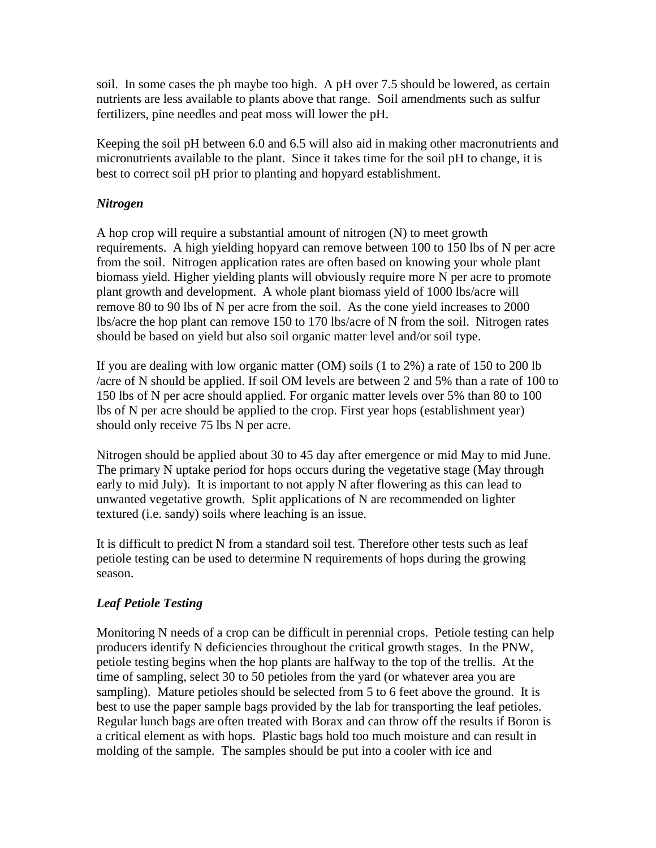soil. In some cases the ph maybe too high. A pH over 7.5 should be lowered, as certain nutrients are less available to plants above that range. Soil amendments such as sulfur fertilizers, pine needles and peat moss will lower the pH.

Keeping the soil pH between 6.0 and 6.5 will also aid in making other macronutrients and micronutrients available to the plant. Since it takes time for the soil pH to change, it is best to correct soil pH prior to planting and hopyard establishment.

### *Nitrogen*

A hop crop will require a substantial amount of nitrogen (N) to meet growth requirements. A high yielding hopyard can remove between 100 to 150 lbs of N per acre from the soil. Nitrogen application rates are often based on knowing your whole plant biomass yield. Higher yielding plants will obviously require more N per acre to promote plant growth and development. A whole plant biomass yield of 1000 lbs/acre will remove 80 to 90 lbs of N per acre from the soil. As the cone yield increases to 2000 lbs/acre the hop plant can remove 150 to 170 lbs/acre of N from the soil. Nitrogen rates should be based on yield but also soil organic matter level and/or soil type.

If you are dealing with low organic matter (OM) soils (1 to 2%) a rate of 150 to 200 lb /acre of N should be applied. If soil OM levels are between 2 and 5% than a rate of 100 to 150 lbs of N per acre should applied. For organic matter levels over 5% than 80 to 100 lbs of N per acre should be applied to the crop. First year hops (establishment year) should only receive 75 lbs N per acre.

Nitrogen should be applied about 30 to 45 day after emergence or mid May to mid June. The primary N uptake period for hops occurs during the vegetative stage (May through early to mid July). It is important to not apply N after flowering as this can lead to unwanted vegetative growth. Split applications of N are recommended on lighter textured (i.e. sandy) soils where leaching is an issue.

It is difficult to predict N from a standard soil test. Therefore other tests such as leaf petiole testing can be used to determine N requirements of hops during the growing season.

# *Leaf Petiole Testing*

Monitoring N needs of a crop can be difficult in perennial crops. Petiole testing can help producers identify N deficiencies throughout the critical growth stages. In the PNW, petiole testing begins when the hop plants are halfway to the top of the trellis. At the time of sampling, select 30 to 50 petioles from the yard (or whatever area you are sampling). Mature petioles should be selected from 5 to 6 feet above the ground. It is best to use the paper sample bags provided by the lab for transporting the leaf petioles. Regular lunch bags are often treated with Borax and can throw off the results if Boron is a critical element as with hops. Plastic bags hold too much moisture and can result in molding of the sample. The samples should be put into a cooler with ice and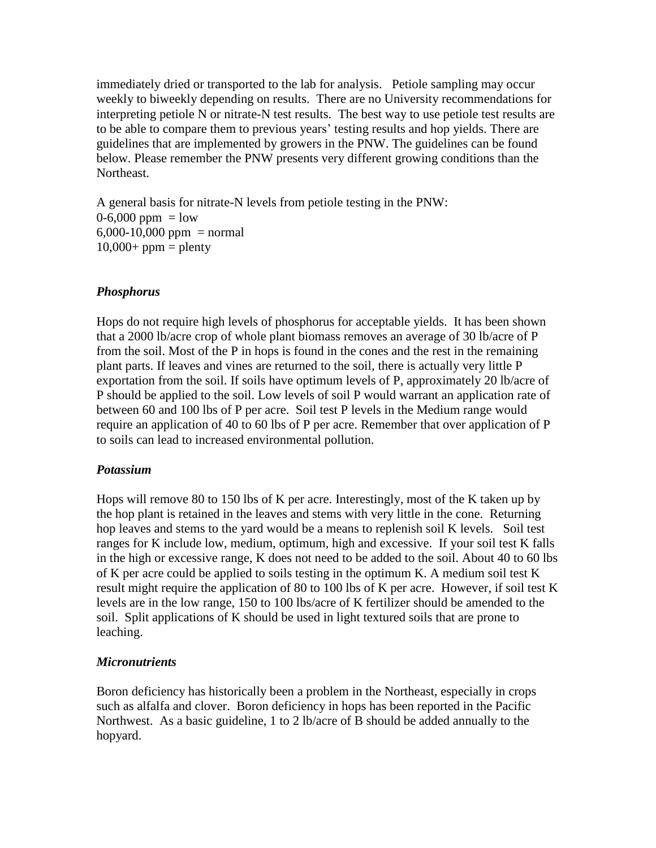immediately dried or transported to the lab for analysis. Petiole sampling may occur weekly to biweekly depending on results. There are no University recommendations for interpreting petiole N or nitrate-N test results. The best way to use petiole test results are to be able to compare them to previous years' testing results and hop yields. There are guidelines that are implemented by growers in the PNW. The guidelines can be found below. Please remember the PNW presents very different growing conditions than the Northeast.

A general basis for nitrate-N levels from petiole testing in the PNW:  $0-6,000$  ppm = low  $6,000-10,000$  ppm = normal  $10,000+$  ppm = plenty

# *Phosphorus*

Hops do not require high levels of phosphorus for acceptable yields. It has been shown that a 2000 lb/acre crop of whole plant biomass removes an average of 30 lb/acre of P from the soil. Most of the P in hops is found in the cones and the rest in the remaining plant parts. If leaves and vines are returned to the soil, there is actually very little P exportation from the soil. If soils have optimum levels of P, approximately 20 lb/acre of P should be applied to the soil. Low levels of soil P would warrant an application rate of between 60 and 100 lbs of P per acre. Soil test P levels in the Medium range would require an application of 40 to 60 lbs of P per acre. Remember that over application of P to soils can lead to increased environmental pollution.

# *Potassium*

Hops will remove 80 to 150 lbs of K per acre. Interestingly, most of the K taken up by the hop plant is retained in the leaves and stems with very little in the cone. Returning hop leaves and stems to the yard would be a means to replenish soil K levels. Soil test ranges for K include low, medium, optimum, high and excessive. If your soil test K falls in the high or excessive range, K does not need to be added to the soil. About 40 to 60 lbs of K per acre could be applied to soils testing in the optimum K. A medium soil test K result might require the application of 80 to 100 lbs of K per acre. However, if soil test K levels are in the low range, 150 to 100 lbs/acre of K fertilizer should be amended to the soil. Split applications of K should be used in light textured soils that are prone to leaching.

# *Micronutrients*

Boron deficiency has historically been a problem in the Northeast, especially in crops such as alfalfa and clover. Boron deficiency in hops has been reported in the Pacific Northwest. As a basic guideline, 1 to 2 lb/acre of B should be added annually to the hopyard.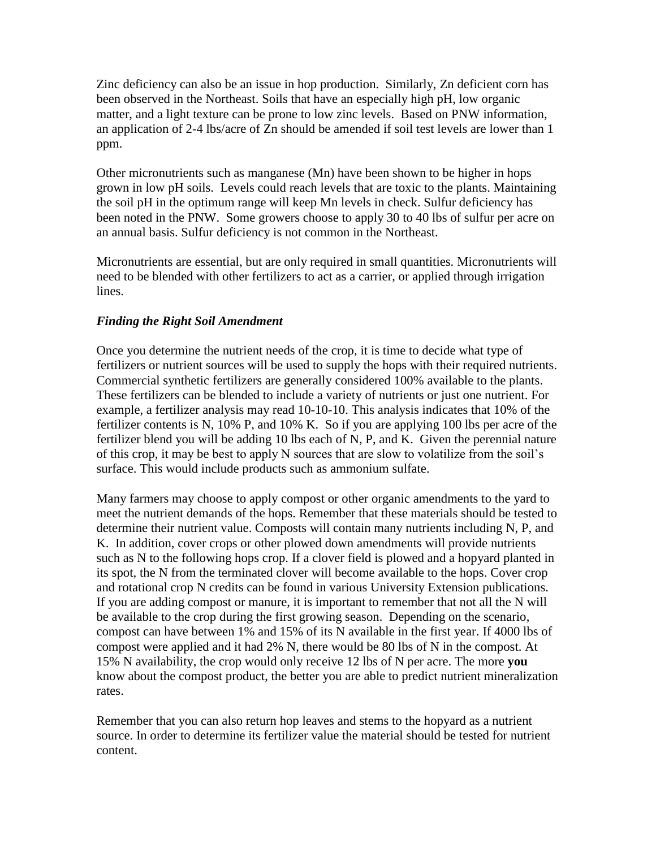Zinc deficiency can also be an issue in hop production. Similarly, Zn deficient corn has been observed in the Northeast. Soils that have an especially high pH, low organic matter, and a light texture can be prone to low zinc levels. Based on PNW information, an application of 2-4 lbs/acre of Zn should be amended if soil test levels are lower than 1 ppm.

Other micronutrients such as manganese (Mn) have been shown to be higher in hops grown in low pH soils. Levels could reach levels that are toxic to the plants. Maintaining the soil pH in the optimum range will keep Mn levels in check. Sulfur deficiency has been noted in the PNW. Some growers choose to apply 30 to 40 lbs of sulfur per acre on an annual basis. Sulfur deficiency is not common in the Northeast.

Micronutrients are essential, but are only required in small quantities. Micronutrients will need to be blended with other fertilizers to act as a carrier, or applied through irrigation lines.

# *Finding the Right Soil Amendment*

Once you determine the nutrient needs of the crop, it is time to decide what type of fertilizers or nutrient sources will be used to supply the hops with their required nutrients. Commercial synthetic fertilizers are generally considered 100% available to the plants. These fertilizers can be blended to include a variety of nutrients or just one nutrient. For example, a fertilizer analysis may read 10-10-10. This analysis indicates that 10% of the fertilizer contents is N, 10% P, and 10% K. So if you are applying 100 lbs per acre of the fertilizer blend you will be adding 10 lbs each of N, P, and K. Given the perennial nature of this crop, it may be best to apply N sources that are slow to volatilize from the soil's surface. This would include products such as ammonium sulfate.

Many farmers may choose to apply compost or other organic amendments to the yard to meet the nutrient demands of the hops. Remember that these materials should be tested to determine their nutrient value. Composts will contain many nutrients including N, P, and K. In addition, cover crops or other plowed down amendments will provide nutrients such as N to the following hops crop. If a clover field is plowed and a hopyard planted in its spot, the N from the terminated clover will become available to the hops. Cover crop and rotational crop N credits can be found in various University Extension publications. If you are adding compost or manure, it is important to remember that not all the N will be available to the crop during the first growing season. Depending on the scenario, compost can have between 1% and 15% of its N available in the first year. If 4000 lbs of compost were applied and it had 2% N, there would be 80 lbs of N in the compost. At 15% N availability, the crop would only receive 12 lbs of N per acre. The more **you** know about the compost product, the better you are able to predict nutrient mineralization rates.

Remember that you can also return hop leaves and stems to the hopyard as a nutrient source. In order to determine its fertilizer value the material should be tested for nutrient content.